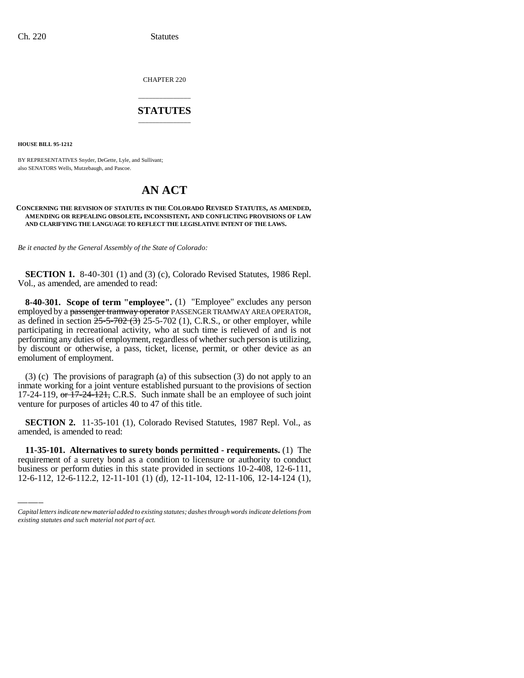CHAPTER 220

# \_\_\_\_\_\_\_\_\_\_\_\_\_\_\_ **STATUTES** \_\_\_\_\_\_\_\_\_\_\_\_\_\_\_

**HOUSE BILL 95-1212**

BY REPRESENTATIVES Snyder, DeGette, Lyle, and Sullivant; also SENATORS Wells, Mutzebaugh, and Pascoe.

# **AN ACT**

### **CONCERNING THE REVISION OF STATUTES IN THE COLORADO REVISED STATUTES, AS AMENDED, AMENDING OR REPEALING OBSOLETE, INCONSISTENT, AND CONFLICTING PROVISIONS OF LAW AND CLARIFYING THE LANGUAGE TO REFLECT THE LEGISLATIVE INTENT OF THE LAWS.**

*Be it enacted by the General Assembly of the State of Colorado:*

**SECTION 1.** 8-40-301 (1) and (3) (c), Colorado Revised Statutes, 1986 Repl. Vol., as amended, are amended to read:

**8-40-301. Scope of term "employee".** (1) "Employee" excludes any person employed by a passenger tramway operator PASSENGER TRAMWAY AREA OPERATOR, as defined in section  $25-5-702$  (3) 25-5-702 (1), C.R.S., or other employer, while participating in recreational activity, who at such time is relieved of and is not performing any duties of employment, regardless of whether such person is utilizing, by discount or otherwise, a pass, ticket, license, permit, or other device as an emolument of employment.

(3) (c) The provisions of paragraph (a) of this subsection (3) do not apply to an inmate working for a joint venture established pursuant to the provisions of section 17-24-119, or 17-24-121, C.R.S. Such inmate shall be an employee of such joint venture for purposes of articles 40 to 47 of this title.

amended, is amended to read: **SECTION 2.** 11-35-101 (1), Colorado Revised Statutes, 1987 Repl. Vol., as

**11-35-101. Alternatives to surety bonds permitted - requirements.** (1) The requirement of a surety bond as a condition to licensure or authority to conduct business or perform duties in this state provided in sections 10-2-408, 12-6-111, 12-6-112, 12-6-112.2, 12-11-101 (1) (d), 12-11-104, 12-11-106, 12-14-124 (1),

*Capital letters indicate new material added to existing statutes; dashes through words indicate deletions from existing statutes and such material not part of act.*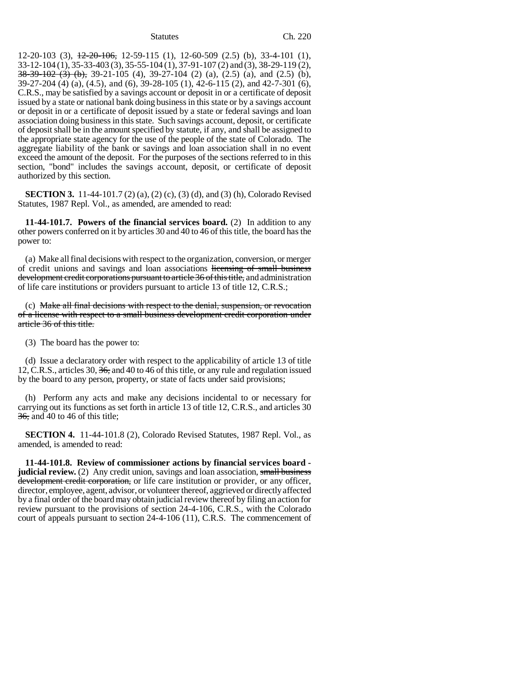$12-20-103$  (3),  $\frac{12-20-106}{2}$ ,  $12-59-115$  (1),  $12-60-509$  (2.5) (b), 33-4-101 (1), 33-12-104 (1), 35-33-403 (3), 35-55-104 (1), 37-91-107 (2) and (3), 38-29-119 (2),  $38-39-102$  (3) (b), 39-21-105 (4), 39-27-104 (2) (a), (2.5) (a), and (2.5) (b), 39-27-204 (4) (a), (4.5), and (6), 39-28-105 (1), 42-6-115 (2), and 42-7-301 (6), C.R.S., may be satisfied by a savings account or deposit in or a certificate of deposit issued by a state or national bank doing business in this state or by a savings account or deposit in or a certificate of deposit issued by a state or federal savings and loan association doing business in this state. Such savings account, deposit, or certificate of deposit shall be in the amount specified by statute, if any, and shall be assigned to the appropriate state agency for the use of the people of the state of Colorado. The aggregate liability of the bank or savings and loan association shall in no event exceed the amount of the deposit. For the purposes of the sections referred to in this section, "bond" includes the savings account, deposit, or certificate of deposit authorized by this section.

**SECTION 3.** 11-44-101.7 (2) (a), (2) (c), (3) (d), and (3) (h), Colorado Revised Statutes, 1987 Repl. Vol., as amended, are amended to read:

**11-44-101.7. Powers of the financial services board.** (2) In addition to any other powers conferred on it by articles 30 and 40 to 46 of this title, the board has the power to:

(a) Make all final decisions with respect to the organization, conversion, or merger of credit unions and savings and loan associations licensing of small business development credit corporations pursuant to article 36 of this title, and administration of life care institutions or providers pursuant to article 13 of title 12, C.R.S.;

(c) Make all final decisions with respect to the denial, suspension, or revocation of a license with respect to a small business development credit corporation under article 36 of this title.

(3) The board has the power to:

(d) Issue a declaratory order with respect to the applicability of article 13 of title 12, C.R.S., articles 30, 36, and 40 to 46 of this title, or any rule and regulation issued by the board to any person, property, or state of facts under said provisions;

(h) Perform any acts and make any decisions incidental to or necessary for carrying out its functions as set forth in article 13 of title 12, C.R.S., and articles 30  $36$ , and 40 to 46 of this title;

**SECTION 4.** 11-44-101.8 (2), Colorado Revised Statutes, 1987 Repl. Vol., as amended, is amended to read:

**11-44-101.8. Review of commissioner actions by financial services board judicial review.** (2) Any credit union, savings and loan association, small business development credit corporation, or life care institution or provider, or any officer, director, employee, agent, advisor, or volunteer thereof, aggrieved or directly affected by a final order of the board may obtain judicial review thereof by filing an action for review pursuant to the provisions of section 24-4-106, C.R.S., with the Colorado court of appeals pursuant to section 24-4-106 (11), C.R.S. The commencement of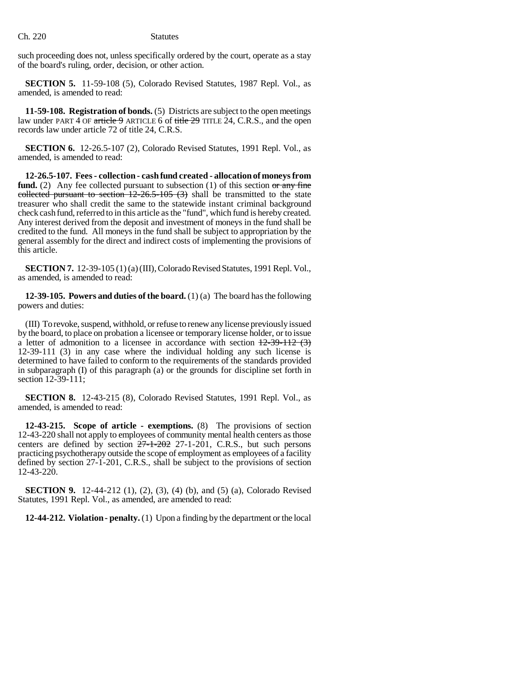such proceeding does not, unless specifically ordered by the court, operate as a stay of the board's ruling, order, decision, or other action.

**SECTION 5.** 11-59-108 (5), Colorado Revised Statutes, 1987 Repl. Vol., as amended, is amended to read:

**11-59-108. Registration of bonds.** (5) Districts are subject to the open meetings law under PART 4 OF article 9 ARTICLE 6 of title  $29$  TITLE  $24$ , C.R.S., and the open records law under article 72 of title 24, C.R.S.

**SECTION 6.** 12-26.5-107 (2), Colorado Revised Statutes, 1991 Repl. Vol., as amended, is amended to read:

**12-26.5-107. Fees - collection - cash fund created - allocation of moneys from fund.** (2) Any fee collected pursuant to subsection (1) of this section or any fine collected pursuant to section  $12-26.5-105$  (3) shall be transmitted to the state treasurer who shall credit the same to the statewide instant criminal background check cash fund, referred to in this article as the "fund", which fund is hereby created. Any interest derived from the deposit and investment of moneys in the fund shall be credited to the fund. All moneys in the fund shall be subject to appropriation by the general assembly for the direct and indirect costs of implementing the provisions of this article.

**SECTION 7.** 12-39-105 (1) (a) (III), Colorado Revised Statutes, 1991 Repl. Vol., as amended, is amended to read:

**12-39-105. Powers and duties of the board.** (1) (a) The board has the following powers and duties:

(III) To revoke, suspend, withhold, or refuse to renew any license previously issued by the board, to place on probation a licensee or temporary license holder, or to issue a letter of admonition to a licensee in accordance with section  $12-39-112$  (3) 12-39-111 (3) in any case where the individual holding any such license is determined to have failed to conform to the requirements of the standards provided in subparagraph (I) of this paragraph (a) or the grounds for discipline set forth in section 12-39-111;

**SECTION 8.** 12-43-215 (8), Colorado Revised Statutes, 1991 Repl. Vol., as amended, is amended to read:

**12-43-215. Scope of article - exemptions.** (8) The provisions of section 12-43-220 shall not apply to employees of community mental health centers as those centers are defined by section  $27-1-202$  27-1-201, C.R.S., but such persons practicing psychotherapy outside the scope of employment as employees of a facility defined by section 27-1-201, C.R.S., shall be subject to the provisions of section 12-43-220.

**SECTION 9.** 12-44-212 (1), (2), (3), (4) (b), and (5) (a), Colorado Revised Statutes, 1991 Repl. Vol., as amended, are amended to read:

**12-44-212. Violation - penalty.** (1) Upon a finding by the department or the local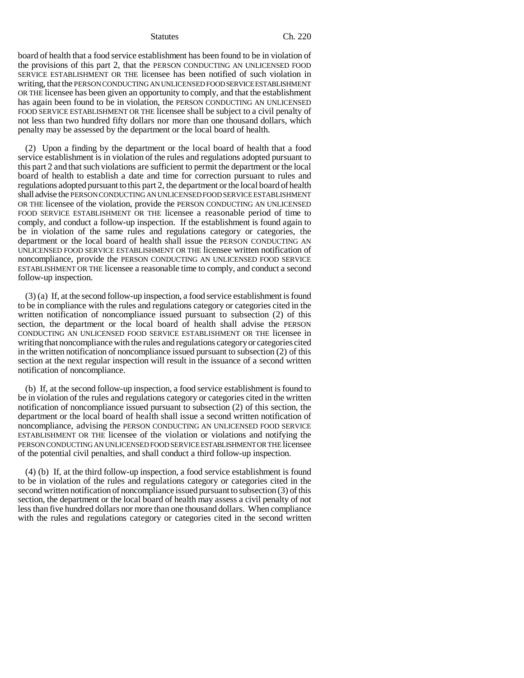board of health that a food service establishment has been found to be in violation of the provisions of this part 2, that the PERSON CONDUCTING AN UNLICENSED FOOD SERVICE ESTABLISHMENT OR THE licensee has been notified of such violation in writing, that the PERSON CONDUCTING AN UNLICENSED FOOD SERVICE ESTABLISHMENT OR THE licensee has been given an opportunity to comply, and that the establishment has again been found to be in violation, the PERSON CONDUCTING AN UNLICENSED FOOD SERVICE ESTABLISHMENT OR THE licensee shall be subject to a civil penalty of not less than two hundred fifty dollars nor more than one thousand dollars, which penalty may be assessed by the department or the local board of health.

(2) Upon a finding by the department or the local board of health that a food service establishment is in violation of the rules and regulations adopted pursuant to this part 2 and that such violations are sufficient to permit the department or the local board of health to establish a date and time for correction pursuant to rules and regulations adopted pursuant to this part 2, the department or the local board of health shall advise the PERSON CONDUCTING AN UNLICENSED FOOD SERVICE ESTABLISHMENT OR THE licensee of the violation, provide the PERSON CONDUCTING AN UNLICENSED FOOD SERVICE ESTABLISHMENT OR THE licensee a reasonable period of time to comply, and conduct a follow-up inspection. If the establishment is found again to be in violation of the same rules and regulations category or categories, the department or the local board of health shall issue the PERSON CONDUCTING AN UNLICENSED FOOD SERVICE ESTABLISHMENT OR THE licensee written notification of noncompliance, provide the PERSON CONDUCTING AN UNLICENSED FOOD SERVICE ESTABLISHMENT OR THE licensee a reasonable time to comply, and conduct a second follow-up inspection.

(3) (a) If, at the second follow-up inspection, a food service establishment is found to be in compliance with the rules and regulations category or categories cited in the written notification of noncompliance issued pursuant to subsection (2) of this section, the department or the local board of health shall advise the PERSON CONDUCTING AN UNLICENSED FOOD SERVICE ESTABLISHMENT OR THE licensee in writing that noncompliance with the rules and regulations category or categories cited in the written notification of noncompliance issued pursuant to subsection (2) of this section at the next regular inspection will result in the issuance of a second written notification of noncompliance.

(b) If, at the second follow-up inspection, a food service establishment is found to be in violation of the rules and regulations category or categories cited in the written notification of noncompliance issued pursuant to subsection (2) of this section, the department or the local board of health shall issue a second written notification of noncompliance, advising the PERSON CONDUCTING AN UNLICENSED FOOD SERVICE ESTABLISHMENT OR THE licensee of the violation or violations and notifying the PERSON CONDUCTING AN UNLICENSED FOOD SERVICE ESTABLISHMENT OR THE licensee of the potential civil penalties, and shall conduct a third follow-up inspection.

(4) (b) If, at the third follow-up inspection, a food service establishment is found to be in violation of the rules and regulations category or categories cited in the second written notification of noncompliance issued pursuant to subsection (3) of this section, the department or the local board of health may assess a civil penalty of not less than five hundred dollars nor more than one thousand dollars. When compliance with the rules and regulations category or categories cited in the second written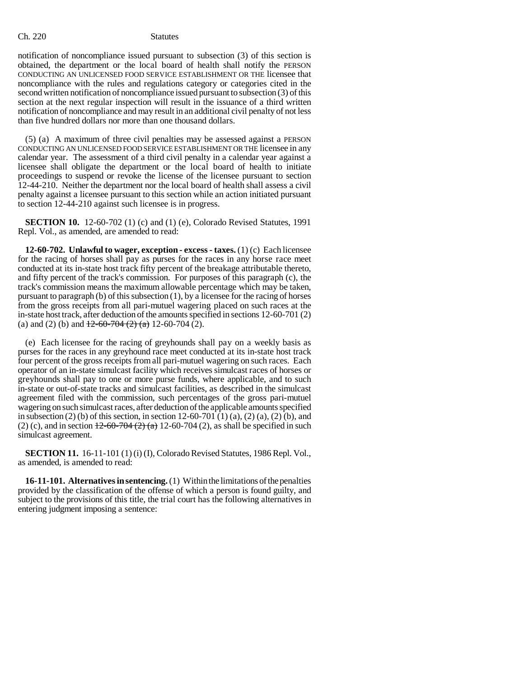notification of noncompliance issued pursuant to subsection (3) of this section is obtained, the department or the local board of health shall notify the PERSON CONDUCTING AN UNLICENSED FOOD SERVICE ESTABLISHMENT OR THE licensee that noncompliance with the rules and regulations category or categories cited in the second written notification of noncompliance issued pursuant to subsection (3) of this section at the next regular inspection will result in the issuance of a third written notification of noncompliance and may result in an additional civil penalty of not less than five hundred dollars nor more than one thousand dollars.

(5) (a) A maximum of three civil penalties may be assessed against a PERSON CONDUCTING AN UNLICENSED FOOD SERVICE ESTABLISHMENT OR THE licensee in any calendar year. The assessment of a third civil penalty in a calendar year against a licensee shall obligate the department or the local board of health to initiate proceedings to suspend or revoke the license of the licensee pursuant to section 12-44-210. Neither the department nor the local board of health shall assess a civil penalty against a licensee pursuant to this section while an action initiated pursuant to section 12-44-210 against such licensee is in progress.

**SECTION 10.** 12-60-702 (1) (c) and (1) (e), Colorado Revised Statutes, 1991 Repl. Vol., as amended, are amended to read:

**12-60-702. Unlawful to wager, exception - excess - taxes.** (1) (c) Each licensee for the racing of horses shall pay as purses for the races in any horse race meet conducted at its in-state host track fifty percent of the breakage attributable thereto, and fifty percent of the track's commission. For purposes of this paragraph (c), the track's commission means the maximum allowable percentage which may be taken, pursuant to paragraph (b) of this subsection (1), by a licensee for the racing of horses from the gross receipts from all pari-mutuel wagering placed on such races at the in-state host track, after deduction of the amounts specified in sections 12-60-701 (2) (a) and (2) (b) and  $\frac{12-60-704(2)(a)}{2}$  12-60-704 (2).

(e) Each licensee for the racing of greyhounds shall pay on a weekly basis as purses for the races in any greyhound race meet conducted at its in-state host track four percent of the gross receipts from all pari-mutuel wagering on such races. Each operator of an in-state simulcast facility which receives simulcast races of horses or greyhounds shall pay to one or more purse funds, where applicable, and to such in-state or out-of-state tracks and simulcast facilities, as described in the simulcast agreement filed with the commission, such percentages of the gross pari-mutuel wagering on such simulcast races, after deduction of the applicable amounts specified in subsection (2) (b) of this section, in section 12-60-701 (1) (a), (2) (a), (2) (b), and (2) (c), and in section  $12-60-704$  (2) (a) 12-60-704 (2), as shall be specified in such simulcast agreement.

**SECTION 11.** 16-11-101 (1) (i) (I), Colorado Revised Statutes, 1986 Repl. Vol., as amended, is amended to read:

**16-11-101. Alternatives in sentencing.** (1) Within the limitations of the penalties provided by the classification of the offense of which a person is found guilty, and subject to the provisions of this title, the trial court has the following alternatives in entering judgment imposing a sentence: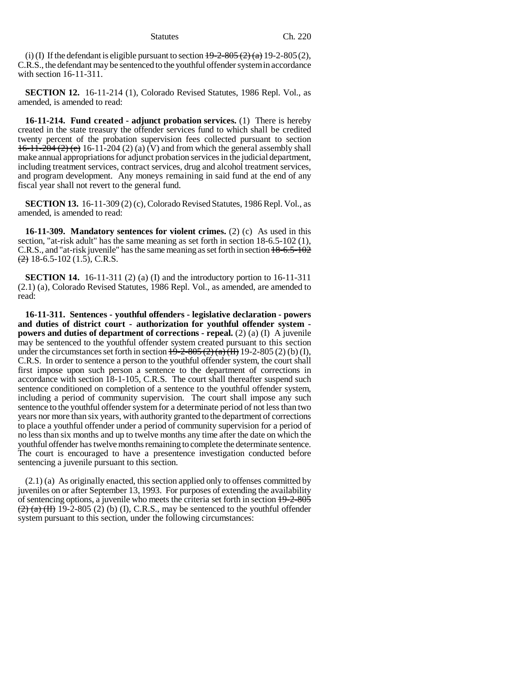(i) (I) If the defendant is eligible pursuant to section  $\frac{19-2-805(2)}{a}$  19-2-805(2), C.R.S., the defendant may be sentenced to the youthful offender system in accordance with section 16-11-311.

**SECTION 12.** 16-11-214 (1), Colorado Revised Statutes, 1986 Repl. Vol., as amended, is amended to read:

**16-11-214. Fund created - adjunct probation services.** (1) There is hereby created in the state treasury the offender services fund to which shall be credited twenty percent of the probation supervision fees collected pursuant to section  $16-11-204 (2) (e) 16-11-204 (2) (a) (V)$  and from which the general assembly shall make annual appropriations for adjunct probation services in the judicial department, including treatment services, contract services, drug and alcohol treatment services, and program development. Any moneys remaining in said fund at the end of any fiscal year shall not revert to the general fund.

**SECTION 13.** 16-11-309 (2) (c), Colorado Revised Statutes, 1986 Repl. Vol., as amended, is amended to read:

**16-11-309. Mandatory sentences for violent crimes.** (2) (c) As used in this section, "at-risk adult" has the same meaning as set forth in section 18-6.5-102 (1), C.R.S., and "at-risk juvenile" has the same meaning as set forth in section 18-6.5-102  $\left( \frac{2}{2} \right)$  18-6.5-102 (1.5), C.R.S.

**SECTION 14.** 16-11-311 (2) (a) (I) and the introductory portion to 16-11-311 (2.1) (a), Colorado Revised Statutes, 1986 Repl. Vol., as amended, are amended to read:

**16-11-311. Sentences - youthful offenders - legislative declaration - powers and duties of district court - authorization for youthful offender system powers and duties of department of corrections - repeal.** (2) (a) (I) A juvenile may be sentenced to the youthful offender system created pursuant to this section under the circumstances set forth in section  $\frac{19-2-805(2)(a)(\text{H})}{(11)}$  19-2-805 (2) (b) (I), C.R.S. In order to sentence a person to the youthful offender system, the court shall first impose upon such person a sentence to the department of corrections in accordance with section 18-1-105, C.R.S. The court shall thereafter suspend such sentence conditioned on completion of a sentence to the youthful offender system, including a period of community supervision. The court shall impose any such sentence to the youthful offender system for a determinate period of not less than two years nor more than six years, with authority granted to the department of corrections to place a youthful offender under a period of community supervision for a period of no less than six months and up to twelve months any time after the date on which the youthful offender has twelve months remaining to complete the determinate sentence. The court is encouraged to have a presentence investigation conducted before sentencing a juvenile pursuant to this section.

(2.1) (a) As originally enacted, this section applied only to offenses committed by juveniles on or after September 13, 1993. For purposes of extending the availability of sentencing options, a juvenile who meets the criteria set forth in section 19-2-805  $(2)$  (a) (H) 19-2-805 (2) (b) (I), C.R.S., may be sentenced to the youthful offender system pursuant to this section, under the following circumstances: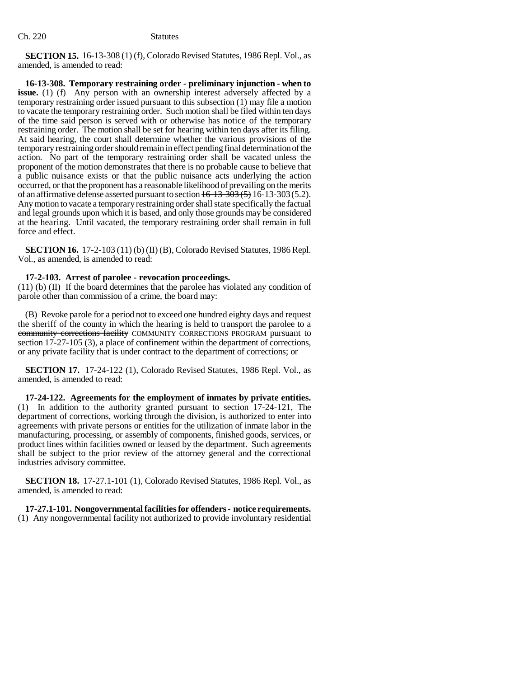**SECTION 15.** 16-13-308 (1) (f), Colorado Revised Statutes, 1986 Repl. Vol., as amended, is amended to read:

**16-13-308. Temporary restraining order - preliminary injunction - when to issue.** (1) (f) Any person with an ownership interest adversely affected by a temporary restraining order issued pursuant to this subsection (1) may file a motion to vacate the temporary restraining order. Such motion shall be filed within ten days of the time said person is served with or otherwise has notice of the temporary restraining order. The motion shall be set for hearing within ten days after its filing. At said hearing, the court shall determine whether the various provisions of the temporary restraining order should remain in effect pending final determination of the action. No part of the temporary restraining order shall be vacated unless the proponent of the motion demonstrates that there is no probable cause to believe that a public nuisance exists or that the public nuisance acts underlying the action occurred, or that the proponent has a reasonable likelihood of prevailing on the merits of an affirmative defense asserted pursuant to section  $16-13-303(5)$  16-13-303(5.2). Any motion to vacate a temporary restraining order shall state specifically the factual and legal grounds upon which it is based, and only those grounds may be considered at the hearing. Until vacated, the temporary restraining order shall remain in full force and effect.

**SECTION 16.** 17-2-103 (11) (b) (II) (B), Colorado Revised Statutes, 1986 Repl. Vol., as amended, is amended to read:

## **17-2-103. Arrest of parolee - revocation proceedings.**

(11) (b) (II) If the board determines that the parolee has violated any condition of parole other than commission of a crime, the board may:

(B) Revoke parole for a period not to exceed one hundred eighty days and request the sheriff of the county in which the hearing is held to transport the parolee to a community corrections facility COMMUNITY CORRECTIONS PROGRAM pursuant to section 17-27-105 (3), a place of confinement within the department of corrections, or any private facility that is under contract to the department of corrections; or

**SECTION 17.** 17-24-122 (1), Colorado Revised Statutes, 1986 Repl. Vol., as amended, is amended to read:

**17-24-122. Agreements for the employment of inmates by private entities.** (1) In addition to the authority granted pursuant to section 17-24-121, The department of corrections, working through the division, is authorized to enter into agreements with private persons or entities for the utilization of inmate labor in the manufacturing, processing, or assembly of components, finished goods, services, or product lines within facilities owned or leased by the department. Such agreements shall be subject to the prior review of the attorney general and the correctional industries advisory committee.

**SECTION 18.** 17-27.1-101 (1), Colorado Revised Statutes, 1986 Repl. Vol., as amended, is amended to read:

# **17-27.1-101. Nongovernmental facilities for offenders - notice requirements.**

(1) Any nongovernmental facility not authorized to provide involuntary residential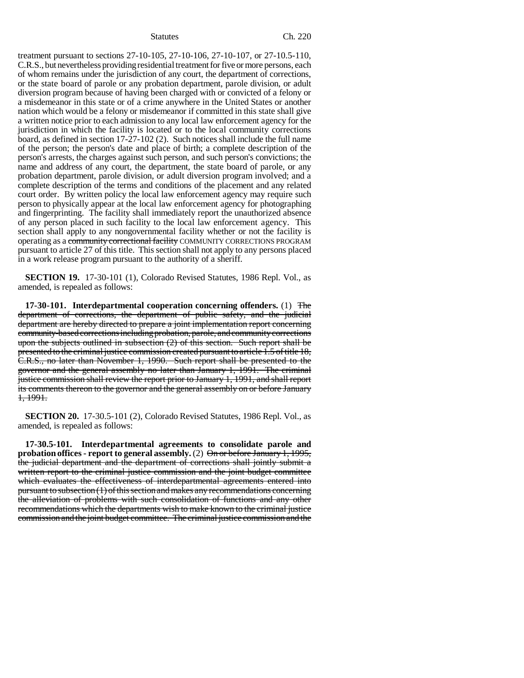treatment pursuant to sections 27-10-105, 27-10-106, 27-10-107, or 27-10.5-110, C.R.S., but nevertheless providing residential treatment for five or more persons, each of whom remains under the jurisdiction of any court, the department of corrections, or the state board of parole or any probation department, parole division, or adult diversion program because of having been charged with or convicted of a felony or a misdemeanor in this state or of a crime anywhere in the United States or another nation which would be a felony or misdemeanor if committed in this state shall give a written notice prior to each admission to any local law enforcement agency for the jurisdiction in which the facility is located or to the local community corrections board, as defined in section 17-27-102 (2). Such notices shall include the full name of the person; the person's date and place of birth; a complete description of the person's arrests, the charges against such person, and such person's convictions; the name and address of any court, the department, the state board of parole, or any probation department, parole division, or adult diversion program involved; and a complete description of the terms and conditions of the placement and any related court order. By written policy the local law enforcement agency may require such person to physically appear at the local law enforcement agency for photographing and fingerprinting. The facility shall immediately report the unauthorized absence of any person placed in such facility to the local law enforcement agency. This section shall apply to any nongovernmental facility whether or not the facility is operating as a community correctional facility COMMUNITY CORRECTIONS PROGRAM pursuant to article 27 of this title. This section shall not apply to any persons placed in a work release program pursuant to the authority of a sheriff.

**SECTION 19.** 17-30-101 (1), Colorado Revised Statutes, 1986 Repl. Vol., as amended, is repealed as follows:

**17-30-101. Interdepartmental cooperation concerning offenders.** (1) The department of corrections, the department of public safety, and the judicial department are hereby directed to prepare a joint implementation report concerning community-based corrections including probation, parole, and community corrections upon the subjects outlined in subsection (2) of this section. Such report shall be presented to the criminal justice commission created pursuant to article 1.5 of title 18, C.R.S., no later than November 1, 1990. Such report shall be presented to the governor and the general assembly no later than January 1, 1991. The criminal justice commission shall review the report prior to January 1, 1991, and shall report its comments thereon to the governor and the general assembly on or before January 1, 1991.

**SECTION 20.** 17-30.5-101 (2), Colorado Revised Statutes, 1986 Repl. Vol., as amended, is repealed as follows:

**17-30.5-101. Interdepartmental agreements to consolidate parole and probation offices - report to general assembly.** (2) On or before January 1, 1995, the judicial department and the department of corrections shall jointly submit a written report to the criminal justice commission and the joint budget committee which evaluates the effectiveness of interdepartmental agreements entered into pursuant to subsection (1) of this section and makes any recommendations concerning the alleviation of problems with such consolidation of functions and any other recommendations which the departments wish to make known to the criminal justice commission and the joint budget committee. The criminal justice commission and the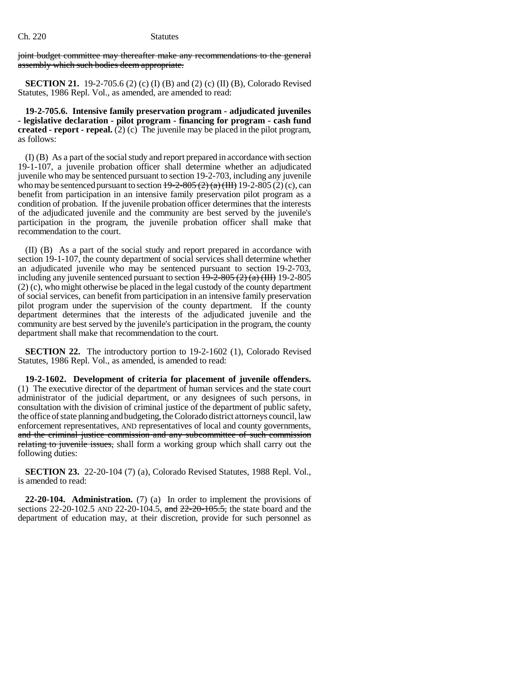joint budget committee may thereafter make any recommendations to the general assembly which such bodies deem appropriate.

**SECTION 21.** 19-2-705.6 (2) (c) (I) (B) and (2) (c) (II) (B), Colorado Revised Statutes, 1986 Repl. Vol., as amended, are amended to read:

**19-2-705.6. Intensive family preservation program - adjudicated juveniles - legislative declaration - pilot program - financing for program - cash fund created - report - repeal.**  $(2)(c)$  The juvenile may be placed in the pilot program, as follows:

(I) (B) As a part of the social study and report prepared in accordance with section 19-1-107, a juvenile probation officer shall determine whether an adjudicated juvenile who may be sentenced pursuant to section 19-2-703, including any juvenile who may be sentenced pursuant to section  $\frac{19-2-805(2)(a)(III)}{2}$  19-2-805 (2) (c), can benefit from participation in an intensive family preservation pilot program as a condition of probation. If the juvenile probation officer determines that the interests of the adjudicated juvenile and the community are best served by the juvenile's participation in the program, the juvenile probation officer shall make that recommendation to the court.

(II) (B) As a part of the social study and report prepared in accordance with section 19-1-107, the county department of social services shall determine whether an adjudicated juvenile who may be sentenced pursuant to section 19-2-703, including any juvenile sentenced pursuant to section  $\frac{19-2-805(2)(a)(\text{HH})}{2}$  19-2-805 (2) (c), who might otherwise be placed in the legal custody of the county department of social services, can benefit from participation in an intensive family preservation pilot program under the supervision of the county department. If the county department determines that the interests of the adjudicated juvenile and the community are best served by the juvenile's participation in the program, the county department shall make that recommendation to the court.

**SECTION 22.** The introductory portion to 19-2-1602 (1), Colorado Revised Statutes, 1986 Repl. Vol., as amended, is amended to read:

**19-2-1602. Development of criteria for placement of juvenile offenders.** (1) The executive director of the department of human services and the state court administrator of the judicial department, or any designees of such persons, in consultation with the division of criminal justice of the department of public safety, the office of state planning and budgeting, the Colorado district attorneys council, law enforcement representatives, AND representatives of local and county governments, and the criminal justice commission and any subcommittee of such commission relating to juvenile issues, shall form a working group which shall carry out the following duties:

**SECTION 23.** 22-20-104 (7) (a), Colorado Revised Statutes, 1988 Repl. Vol., is amended to read:

**22-20-104. Administration.** (7) (a) In order to implement the provisions of sections 22-20-102.5 AND 22-20-104.5, and  $22-20-105.5$ , the state board and the department of education may, at their discretion, provide for such personnel as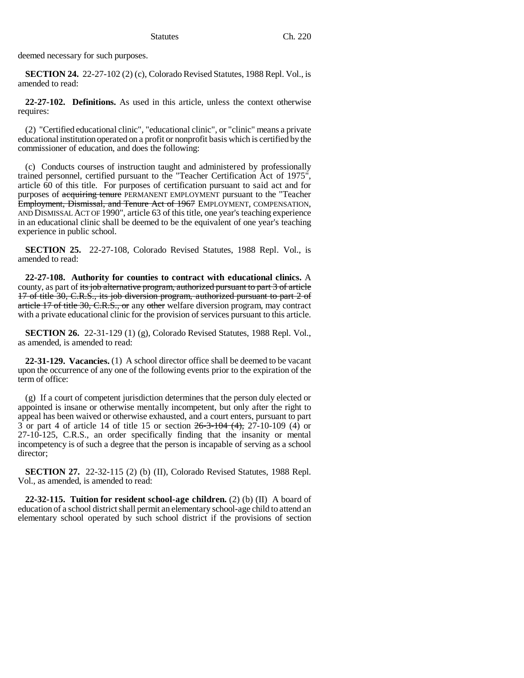deemed necessary for such purposes.

**SECTION 24.** 22-27-102 (2) (c), Colorado Revised Statutes, 1988 Repl. Vol., is amended to read:

**22-27-102. Definitions.** As used in this article, unless the context otherwise requires:

(2) "Certified educational clinic", "educational clinic", or "clinic" means a private educational institution operated on a profit or nonprofit basis which is certified by the commissioner of education, and does the following:

(c) Conducts courses of instruction taught and administered by professionally trained personnel, certified pursuant to the "Teacher Certification Act of 1975", article 60 of this title. For purposes of certification pursuant to said act and for purposes of acquiring tenure PERMANENT EMPLOYMENT pursuant to the "Teacher Employment, Dismissal, and Tenure Act of 1967 EMPLOYMENT, COMPENSATION, AND DISMISSAL ACT OF 1990", article 63 of this title, one year's teaching experience in an educational clinic shall be deemed to be the equivalent of one year's teaching experience in public school.

**SECTION 25.** 22-27-108, Colorado Revised Statutes, 1988 Repl. Vol., is amended to read:

**22-27-108. Authority for counties to contract with educational clinics.** A county, as part of its job alternative program, authorized pursuant to part 3 of article 17 of title 30, C.R.S., its job diversion program, authorized pursuant to part 2 of article 17 of title 30, C.R.S., or any other welfare diversion program, may contract with a private educational clinic for the provision of services pursuant to this article.

**SECTION 26.** 22-31-129 (1) (g), Colorado Revised Statutes, 1988 Repl. Vol., as amended, is amended to read:

**22-31-129. Vacancies.** (1) A school director office shall be deemed to be vacant upon the occurrence of any one of the following events prior to the expiration of the term of office:

(g) If a court of competent jurisdiction determines that the person duly elected or appointed is insane or otherwise mentally incompetent, but only after the right to appeal has been waived or otherwise exhausted, and a court enters, pursuant to part 3 or part 4 of article 14 of title 15 or section 26-3-104 (4), 27-10-109 (4) or 27-10-125, C.R.S., an order specifically finding that the insanity or mental incompetency is of such a degree that the person is incapable of serving as a school director;

**SECTION 27.** 22-32-115 (2) (b) (II), Colorado Revised Statutes, 1988 Repl. Vol., as amended, is amended to read:

**22-32-115. Tuition for resident school-age children.** (2) (b) (II) A board of education of a school district shall permit an elementary school-age child to attend an elementary school operated by such school district if the provisions of section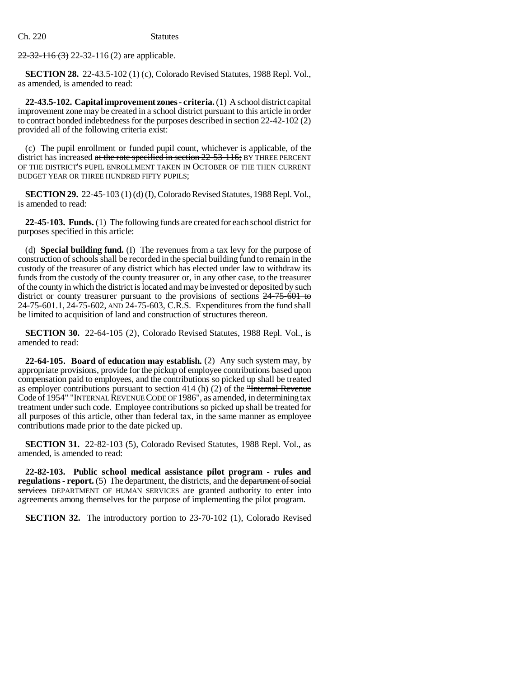$22-32-116(3)$  22-32-116 (2) are applicable.

**SECTION 28.** 22-43.5-102 (1) (c), Colorado Revised Statutes, 1988 Repl. Vol., as amended, is amended to read:

**22-43.5-102. Capital improvement zones - criteria.** (1) A school district capital improvement zone may be created in a school district pursuant to this article in order to contract bonded indebtedness for the purposes described in section 22-42-102 (2) provided all of the following criteria exist:

(c) The pupil enrollment or funded pupil count, whichever is applicable, of the district has increased at the rate specified in section 22-53-116; BY THREE PERCENT OF THE DISTRICT'S PUPIL ENROLLMENT TAKEN IN OCTOBER OF THE THEN CURRENT BUDGET YEAR OR THREE HUNDRED FIFTY PUPILS;

**SECTION 29.** 22-45-103 (1) (d) (I), Colorado Revised Statutes, 1988 Repl. Vol., is amended to read:

**22-45-103. Funds.** (1) The following funds are created for each school district for purposes specified in this article:

(d) **Special building fund.** (I) The revenues from a tax levy for the purpose of construction of schools shall be recorded in the special building fund to remain in the custody of the treasurer of any district which has elected under law to withdraw its funds from the custody of the county treasurer or, in any other case, to the treasurer of the county in which the district is located and may be invested or deposited by such district or county treasurer pursuant to the provisions of sections  $24-75-601$  to 24-75-601.1, 24-75-602, AND 24-75-603, C.R.S. Expenditures from the fund shall be limited to acquisition of land and construction of structures thereon.

**SECTION 30.** 22-64-105 (2), Colorado Revised Statutes, 1988 Repl. Vol., is amended to read:

**22-64-105. Board of education may establish.** (2) Any such system may, by appropriate provisions, provide for the pickup of employee contributions based upon compensation paid to employees, and the contributions so picked up shall be treated as employer contributions pursuant to section 414 (h) (2) of the "Internal Revenue Code of 1954" "INTERNAL REVENUE CODE OF 1986", as amended, in determining tax treatment under such code. Employee contributions so picked up shall be treated for all purposes of this article, other than federal tax, in the same manner as employee contributions made prior to the date picked up.

**SECTION 31.** 22-82-103 (5), Colorado Revised Statutes, 1988 Repl. Vol., as amended, is amended to read:

**22-82-103. Public school medical assistance pilot program - rules and regulations - report.** (5) The department, the districts, and the department of social services DEPARTMENT OF HUMAN SERVICES are granted authority to enter into agreements among themselves for the purpose of implementing the pilot program.

**SECTION 32.** The introductory portion to 23-70-102 (1), Colorado Revised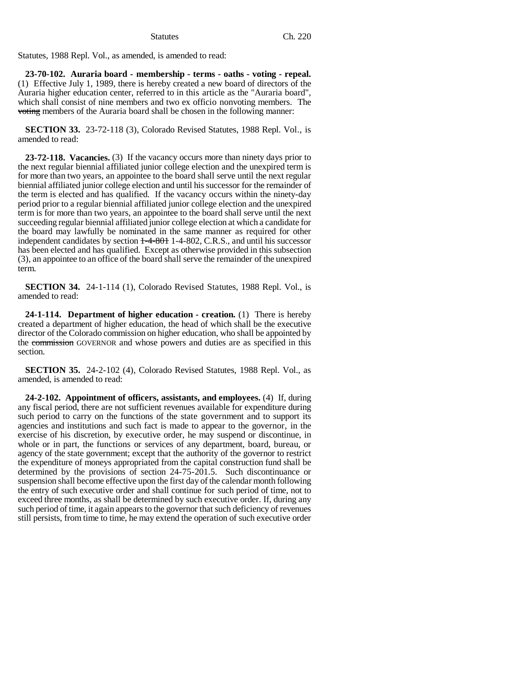Statutes, 1988 Repl. Vol., as amended, is amended to read:

**23-70-102. Auraria board - membership - terms - oaths - voting - repeal.** (1) Effective July 1, 1989, there is hereby created a new board of directors of the Auraria higher education center, referred to in this article as the "Auraria board", which shall consist of nine members and two ex officio nonvoting members. The voting members of the Auraria board shall be chosen in the following manner:

**SECTION 33.** 23-72-118 (3), Colorado Revised Statutes, 1988 Repl. Vol., is amended to read:

**23-72-118. Vacancies.** (3) If the vacancy occurs more than ninety days prior to the next regular biennial affiliated junior college election and the unexpired term is for more than two years, an appointee to the board shall serve until the next regular biennial affiliated junior college election and until his successor for the remainder of the term is elected and has qualified. If the vacancy occurs within the ninety-day period prior to a regular biennial affiliated junior college election and the unexpired term is for more than two years, an appointee to the board shall serve until the next succeeding regular biennial affiliated junior college election at which a candidate for the board may lawfully be nominated in the same manner as required for other independent candidates by section  $1-4-801$  1-4-802, C.R.S., and until his successor has been elected and has qualified. Except as otherwise provided in this subsection (3), an appointee to an office of the board shall serve the remainder of the unexpired term.

**SECTION 34.** 24-1-114 (1), Colorado Revised Statutes, 1988 Repl. Vol., is amended to read:

**24-1-114. Department of higher education - creation.** (1) There is hereby created a department of higher education, the head of which shall be the executive director of the Colorado commission on higher education, who shall be appointed by the commission GOVERNOR and whose powers and duties are as specified in this section.

**SECTION 35.** 24-2-102 (4), Colorado Revised Statutes, 1988 Repl. Vol., as amended, is amended to read:

**24-2-102. Appointment of officers, assistants, and employees.** (4) If, during any fiscal period, there are not sufficient revenues available for expenditure during such period to carry on the functions of the state government and to support its agencies and institutions and such fact is made to appear to the governor, in the exercise of his discretion, by executive order, he may suspend or discontinue, in whole or in part, the functions or services of any department, board, bureau, or agency of the state government; except that the authority of the governor to restrict the expenditure of moneys appropriated from the capital construction fund shall be determined by the provisions of section 24-75-201.5. Such discontinuance or suspension shall become effective upon the first day of the calendar month following the entry of such executive order and shall continue for such period of time, not to exceed three months, as shall be determined by such executive order. If, during any such period of time, it again appears to the governor that such deficiency of revenues still persists, from time to time, he may extend the operation of such executive order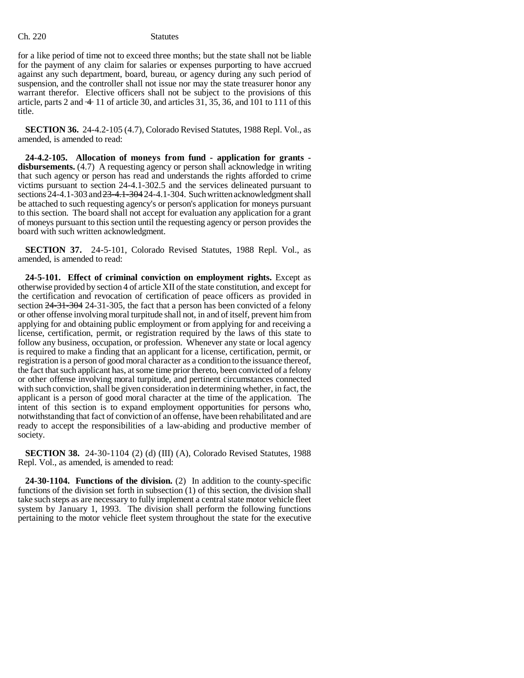for a like period of time not to exceed three months; but the state shall not be liable for the payment of any claim for salaries or expenses purporting to have accrued against any such department, board, bureau, or agency during any such period of suspension, and the controller shall not issue nor may the state treasurer honor any warrant therefor. Elective officers shall not be subject to the provisions of this article, parts 2 and  $\pm$  11 of article 30, and articles 31, 35, 36, and 101 to 111 of this title.

**SECTION 36.** 24-4.2-105 (4.7), Colorado Revised Statutes, 1988 Repl. Vol., as amended, is amended to read:

**24-4.2-105. Allocation of moneys from fund - application for grants disbursements.** (4.7) A requesting agency or person shall acknowledge in writing that such agency or person has read and understands the rights afforded to crime victims pursuant to section 24-4.1-302.5 and the services delineated pursuant to sections 24-4.1-303 and 23-4.1-304 24-4.1-304. Such written acknowledgment shall be attached to such requesting agency's or person's application for moneys pursuant to this section. The board shall not accept for evaluation any application for a grant of moneys pursuant to this section until the requesting agency or person provides the board with such written acknowledgment.

**SECTION 37.** 24-5-101, Colorado Revised Statutes, 1988 Repl. Vol., as amended, is amended to read:

**24-5-101. Effect of criminal conviction on employment rights.** Except as otherwise provided by section 4 of article XII of the state constitution, and except for the certification and revocation of certification of peace officers as provided in section  $24-31-304$  24-31-305, the fact that a person has been convicted of a felony or other offense involving moral turpitude shall not, in and of itself, prevent him from applying for and obtaining public employment or from applying for and receiving a license, certification, permit, or registration required by the laws of this state to follow any business, occupation, or profession. Whenever any state or local agency is required to make a finding that an applicant for a license, certification, permit, or registration is a person of good moral character as a condition to the issuance thereof, the fact that such applicant has, at some time prior thereto, been convicted of a felony or other offense involving moral turpitude, and pertinent circumstances connected with such conviction, shall be given consideration in determining whether, in fact, the applicant is a person of good moral character at the time of the application. The intent of this section is to expand employment opportunities for persons who, notwithstanding that fact of conviction of an offense, have been rehabilitated and are ready to accept the responsibilities of a law-abiding and productive member of society.

**SECTION 38.** 24-30-1104 (2) (d) (III) (A), Colorado Revised Statutes, 1988 Repl. Vol., as amended, is amended to read:

**24-30-1104. Functions of the division.** (2) In addition to the county-specific functions of the division set forth in subsection (1) of this section, the division shall take such steps as are necessary to fully implement a central state motor vehicle fleet system by January 1, 1993. The division shall perform the following functions pertaining to the motor vehicle fleet system throughout the state for the executive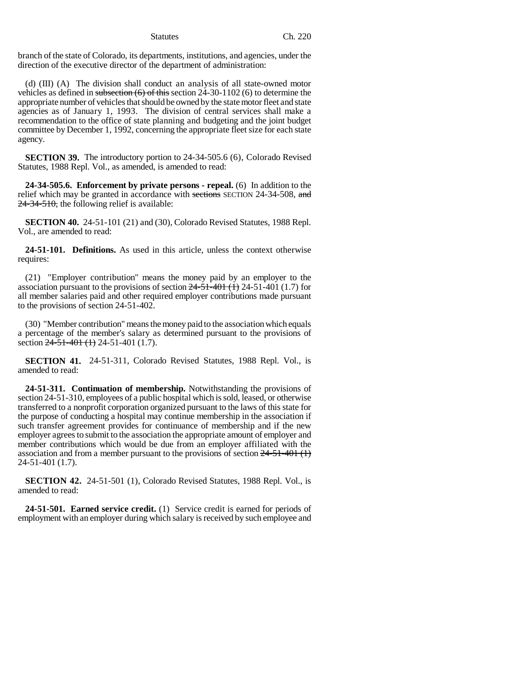branch of the state of Colorado, its departments, institutions, and agencies, under the direction of the executive director of the department of administration:

(d) (III) (A) The division shall conduct an analysis of all state-owned motor vehicles as defined in subsection  $(6)$  of this section 24-30-1102 (6) to determine the appropriate number of vehicles that should be owned by the state motor fleet and state agencies as of January 1, 1993. The division of central services shall make a recommendation to the office of state planning and budgeting and the joint budget committee by December 1, 1992, concerning the appropriate fleet size for each state agency.

**SECTION 39.** The introductory portion to 24-34-505.6 (6), Colorado Revised Statutes, 1988 Repl. Vol., as amended, is amended to read:

**24-34-505.6. Enforcement by private persons - repeal.** (6) In addition to the relief which may be granted in accordance with sections SECTION 24-34-508, and  $24-34-510$ , the following relief is available:

**SECTION 40.** 24-51-101 (21) and (30), Colorado Revised Statutes, 1988 Repl. Vol., are amended to read:

**24-51-101. Definitions.** As used in this article, unless the context otherwise requires:

(21) "Employer contribution" means the money paid by an employer to the association pursuant to the provisions of section  $24-51-401$  (1) 24-51-401 (1.7) for all member salaries paid and other required employer contributions made pursuant to the provisions of section 24-51-402.

(30) "Member contribution" means the money paid to the association which equals a percentage of the member's salary as determined pursuant to the provisions of section 24-51-401 (1) 24-51-401 (1.7).

**SECTION 41.** 24-51-311, Colorado Revised Statutes, 1988 Repl. Vol., is amended to read:

**24-51-311. Continuation of membership.** Notwithstanding the provisions of section 24-51-310, employees of a public hospital which is sold, leased, or otherwise transferred to a nonprofit corporation organized pursuant to the laws of this state for the purpose of conducting a hospital may continue membership in the association if such transfer agreement provides for continuance of membership and if the new employer agrees to submit to the association the appropriate amount of employer and member contributions which would be due from an employer affiliated with the association and from a member pursuant to the provisions of section  $24-51-401$  (1) 24-51-401 (1.7).

**SECTION 42.** 24-51-501 (1), Colorado Revised Statutes, 1988 Repl. Vol., is amended to read:

**24-51-501. Earned service credit.** (1) Service credit is earned for periods of employment with an employer during which salary is received by such employee and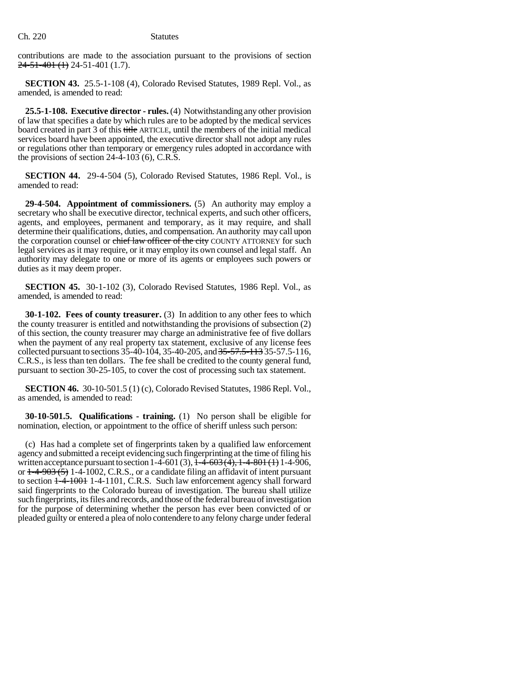contributions are made to the association pursuant to the provisions of section  $24-51-401(1)$  24-51-401 (1.7).

**SECTION 43.** 25.5-1-108 (4), Colorado Revised Statutes, 1989 Repl. Vol., as amended, is amended to read:

**25.5-1-108. Executive director - rules.** (4) Notwithstanding any other provision of law that specifies a date by which rules are to be adopted by the medical services board created in part 3 of this title ARTICLE, until the members of the initial medical services board have been appointed, the executive director shall not adopt any rules or regulations other than temporary or emergency rules adopted in accordance with the provisions of section 24-4-103 (6), C.R.S.

**SECTION 44.** 29-4-504 (5), Colorado Revised Statutes, 1986 Repl. Vol., is amended to read:

**29-4-504. Appointment of commissioners.** (5) An authority may employ a secretary who shall be executive director, technical experts, and such other officers, agents, and employees, permanent and temporary, as it may require, and shall determine their qualifications, duties, and compensation. An authority may call upon the corporation counsel or chief law officer of the city COUNTY ATTORNEY for such legal services as it may require, or it may employ its own counsel and legal staff. An authority may delegate to one or more of its agents or employees such powers or duties as it may deem proper.

**SECTION 45.** 30-1-102 (3), Colorado Revised Statutes, 1986 Repl. Vol., as amended, is amended to read:

**30-1-102. Fees of county treasurer.** (3) In addition to any other fees to which the county treasurer is entitled and notwithstanding the provisions of subsection (2) of this section, the county treasurer may charge an administrative fee of five dollars when the payment of any real property tax statement, exclusive of any license fees collected pursuant to sections 35-40-104, 35-40-205, and 35-57.5-113 35-57.5-116, C.R.S., is less than ten dollars. The fee shall be credited to the county general fund, pursuant to section 30-25-105, to cover the cost of processing such tax statement.

**SECTION 46.** 30-10-501.5 (1) (c), Colorado Revised Statutes, 1986 Repl. Vol., as amended, is amended to read:

**30-10-501.5. Qualifications - training.** (1) No person shall be eligible for nomination, election, or appointment to the office of sheriff unless such person:

(c) Has had a complete set of fingerprints taken by a qualified law enforcement agency and submitted a receipt evidencing such fingerprinting at the time of filing his written acceptance pursuant to section 1-4-601 (3),  $\overline{1-4-603(4)}$ ,  $\overline{1-4-801(1)}$  1-4-906, or  $\frac{1-4-903(5)}{1-4-1002}$ , C.R.S., or a candidate filing an affidavit of intent pursuant to section  $\frac{1-4-100+1-1101}{1-4-1101}$ , C.R.S. Such law enforcement agency shall forward said fingerprints to the Colorado bureau of investigation. The bureau shall utilize such fingerprints, its files and records, and those of the federal bureau of investigation for the purpose of determining whether the person has ever been convicted of or pleaded guilty or entered a plea of nolo contendere to any felony charge under federal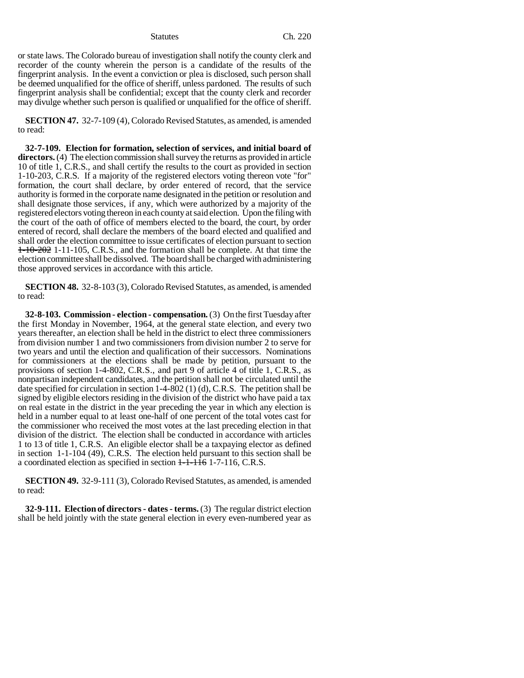or state laws. The Colorado bureau of investigation shall notify the county clerk and recorder of the county wherein the person is a candidate of the results of the fingerprint analysis. In the event a conviction or plea is disclosed, such person shall be deemed unqualified for the office of sheriff, unless pardoned. The results of such fingerprint analysis shall be confidential; except that the county clerk and recorder may divulge whether such person is qualified or unqualified for the office of sheriff.

**SECTION 47.** 32-7-109 (4), Colorado Revised Statutes, as amended, is amended to read:

**32-7-109. Election for formation, selection of services, and initial board of directors.** (4) The election commission shall survey the returns as provided in article 10 of title 1, C.R.S., and shall certify the results to the court as provided in section 1-10-203, C.R.S. If a majority of the registered electors voting thereon vote "for" formation, the court shall declare, by order entered of record, that the service authority is formed in the corporate name designated in the petition or resolution and shall designate those services, if any, which were authorized by a majority of the registered electors voting thereon in each county at said election. Upon the filing with the court of the oath of office of members elected to the board, the court, by order entered of record, shall declare the members of the board elected and qualified and shall order the election committee to issue certificates of election pursuant to section 1-10-202 1-11-105, C.R.S., and the formation shall be complete. At that time the election committee shall be dissolved. The board shall be charged with administering those approved services in accordance with this article.

**SECTION 48.** 32-8-103 (3), Colorado Revised Statutes, as amended, is amended to read:

**32-8-103. Commission - election - compensation.** (3) On the first Tuesday after the first Monday in November, 1964, at the general state election, and every two years thereafter, an election shall be held in the district to elect three commissioners from division number 1 and two commissioners from division number 2 to serve for two years and until the election and qualification of their successors. Nominations for commissioners at the elections shall be made by petition, pursuant to the provisions of section 1-4-802, C.R.S., and part 9 of article 4 of title 1, C.R.S., as nonpartisan independent candidates, and the petition shall not be circulated until the date specified for circulation in section 1-4-802 (1) (d), C.R.S. The petition shall be signed by eligible electors residing in the division of the district who have paid a tax on real estate in the district in the year preceding the year in which any election is held in a number equal to at least one-half of one percent of the total votes cast for the commissioner who received the most votes at the last preceding election in that division of the district. The election shall be conducted in accordance with articles 1 to 13 of title 1, C.R.S. An eligible elector shall be a taxpaying elector as defined in section 1-1-104 (49), C.R.S. The election held pursuant to this section shall be a coordinated election as specified in section  $1-1-116$  1-7-116, C.R.S.

**SECTION 49.** 32-9-111 (3), Colorado Revised Statutes, as amended, is amended to read:

**32-9-111. Election of directors - dates - terms.** (3) The regular district election shall be held jointly with the state general election in every even-numbered year as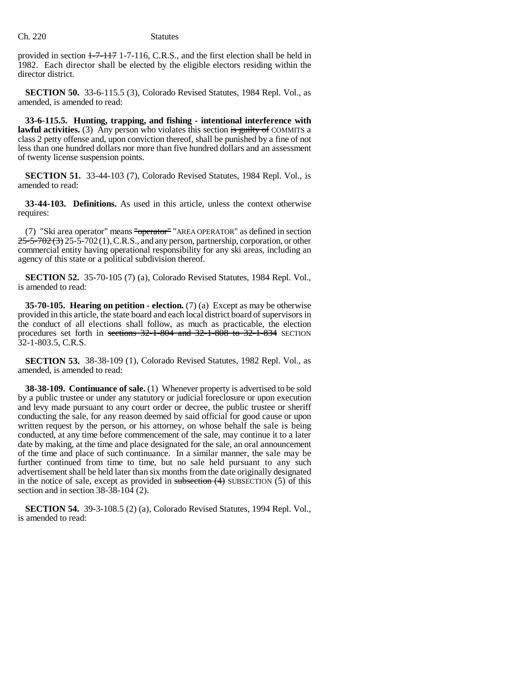provided in section  $1-7-117$  1-7-116, C.R.S., and the first election shall be held in 1982. Each director shall be elected by the eligible electors residing within the director district.

**SECTION 50.** 33-6-115.5 (3), Colorado Revised Statutes, 1984 Repl. Vol., as amended, is amended to read:

**33-6-115.5. Hunting, trapping, and fishing - intentional interference with lawful activities.** (3) Any person who violates this section is guilty of COMMITS a class 2 petty offense and, upon conviction thereof, shall be punished by a fine of not less than one hundred dollars nor more than five hundred dollars and an assessment of twenty license suspension points.

**SECTION 51.** 33-44-103 (7), Colorado Revised Statutes, 1984 Repl. Vol., is amended to read:

**33-44-103. Definitions.** As used in this article, unless the context otherwise requires:

(7) "Ski area operator" means "operator" "AREA OPERATOR" as defined in section  $25-5-702(3)$  25-5-702(1), C.R.S., and any person, partnership, corporation, or other commercial entity having operational responsibility for any ski areas, including an agency of this state or a political subdivision thereof.

**SECTION 52.** 35-70-105 (7) (a), Colorado Revised Statutes, 1984 Repl. Vol., is amended to read:

**35-70-105. Hearing on petition - election.** (7) (a) Except as may be otherwise provided in this article, the state board and each local district board of supervisors in the conduct of all elections shall follow, as much as practicable, the election procedures set forth in sections 32-1-804 and 32-1-808 to 32-1-834 SECTION 32-1-803.5, C.R.S.

**SECTION 53.** 38-38-109 (1), Colorado Revised Statutes, 1982 Repl. Vol., as amended, is amended to read:

**38-38-109. Continuance of sale.** (1) Whenever property is advertised to be sold by a public trustee or under any statutory or judicial foreclosure or upon execution and levy made pursuant to any court order or decree, the public trustee or sheriff conducting the sale, for any reason deemed by said official for good cause or upon written request by the person, or his attorney, on whose behalf the sale is being conducted, at any time before commencement of the sale, may continue it to a later date by making, at the time and place designated for the sale, an oral announcement of the time and place of such continuance. In a similar manner, the sale may be further continued from time to time, but no sale held pursuant to any such advertisement shall be held later than six months from the date originally designated in the notice of sale, except as provided in  $subsection(4)$  SUBSECTION (5) of this section and in section  $38-38-104$  (2).

**SECTION 54.** 39-3-108.5 (2) (a), Colorado Revised Statutes, 1994 Repl. Vol., is amended to read: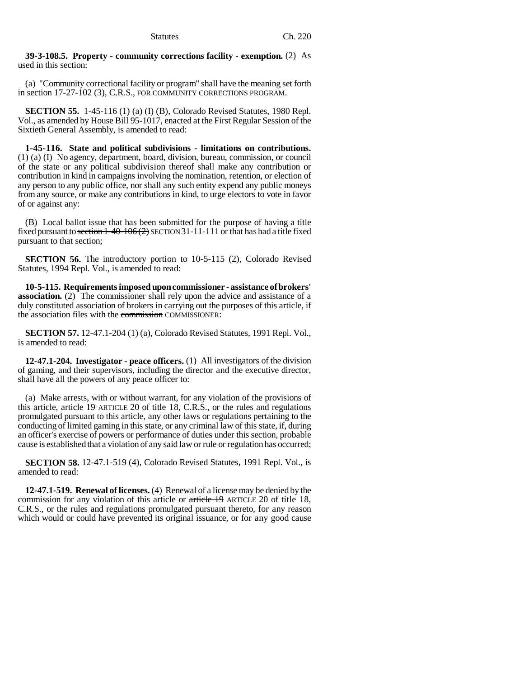## **39-3-108.5. Property - community corrections facility - exemption.** (2) As used in this section:

(a) "Community correctional facility or program" shall have the meaning set forth in section 17-27-102 (3), C.R.S., FOR COMMUNITY CORRECTIONS PROGRAM.

**SECTION 55.** 1-45-116 (1) (a) (I) (B), Colorado Revised Statutes, 1980 Repl. Vol., as amended by House Bill 95-1017, enacted at the First Regular Session of the Sixtieth General Assembly, is amended to read:

**1-45-116. State and political subdivisions - limitations on contributions.** (1) (a) (I) No agency, department, board, division, bureau, commission, or council of the state or any political subdivision thereof shall make any contribution or contribution in kind in campaigns involving the nomination, retention, or election of any person to any public office, nor shall any such entity expend any public moneys from any source, or make any contributions in kind, to urge electors to vote in favor of or against any:

(B) Local ballot issue that has been submitted for the purpose of having a title fixed pursuant to section  $1-40-106(2)$  SECTION 31-11-111 or that has had a title fixed pursuant to that section;

**SECTION 56.** The introductory portion to 10-5-115 (2), Colorado Revised Statutes, 1994 Repl. Vol., is amended to read:

**10-5-115. Requirements imposed upon commissioner - assistance of brokers' association.** (2) The commissioner shall rely upon the advice and assistance of a duly constituted association of brokers in carrying out the purposes of this article, if the association files with the commission COMMISSIONER:

**SECTION 57.** 12-47.1-204 (1) (a), Colorado Revised Statutes, 1991 Repl. Vol., is amended to read:

**12-47.1-204. Investigator - peace officers.** (1) All investigators of the division of gaming, and their supervisors, including the director and the executive director, shall have all the powers of any peace officer to:

(a) Make arrests, with or without warrant, for any violation of the provisions of this article, article 19 ARTICLE 20 of title 18, C.R.S., or the rules and regulations promulgated pursuant to this article, any other laws or regulations pertaining to the conducting of limited gaming in this state, or any criminal law of this state, if, during an officer's exercise of powers or performance of duties under this section, probable cause is established that a violation of any said law or rule or regulation has occurred;

**SECTION 58.** 12-47.1-519 (4), Colorado Revised Statutes, 1991 Repl. Vol., is amended to read:

**12-47.1-519. Renewal of licenses.** (4) Renewal of a license may be denied by the commission for any violation of this article or article 19 ARTICLE 20 of title 18, C.R.S., or the rules and regulations promulgated pursuant thereto, for any reason which would or could have prevented its original issuance, or for any good cause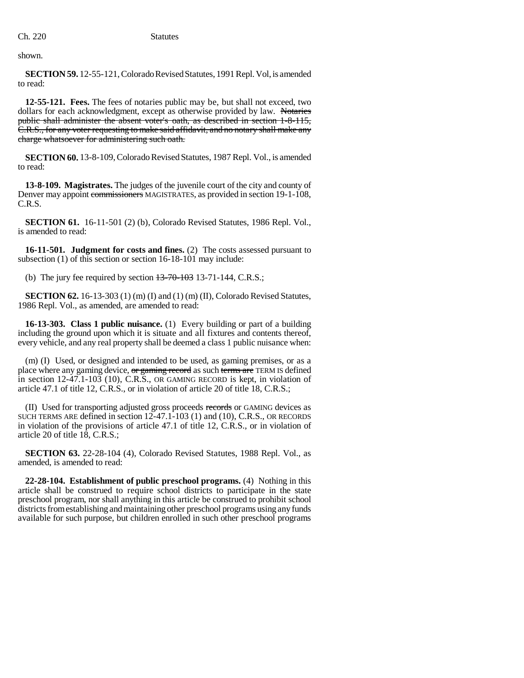shown.

**SECTION 59.** 12-55-121, Colorado Revised Statutes, 1991 Repl. Vol, is amended to read:

**12-55-121. Fees.** The fees of notaries public may be, but shall not exceed, two dollars for each acknowledgment, except as otherwise provided by law. Notaries public shall administer the absent voter's oath, as described in section 1-8-115, C.R.S., for any voter requesting to make said affidavit, and no notary shall make any charge whatsoever for administering such oath.

**SECTION 60.** 13-8-109, Colorado Revised Statutes, 1987 Repl. Vol., is amended to read:

**13-8-109. Magistrates.** The judges of the juvenile court of the city and county of Denver may appoint commissioners MAGISTRATES, as provided in section 19-1-108, C.R.S.

**SECTION 61.** 16-11-501 (2) (b), Colorado Revised Statutes, 1986 Repl. Vol., is amended to read:

**16-11-501. Judgment for costs and fines.** (2) The costs assessed pursuant to subsection (1) of this section or section 16-18-101 may include:

(b) The jury fee required by section  $13-70-103$  13-71-144, C.R.S.;

**SECTION 62.** 16-13-303 (1) (m) (I) and (1) (m) (II), Colorado Revised Statutes, 1986 Repl. Vol., as amended, are amended to read:

**16-13-303. Class 1 public nuisance.** (1) Every building or part of a building including the ground upon which it is situate and all fixtures and contents thereof, every vehicle, and any real property shall be deemed a class 1 public nuisance when:

(m) (I) Used, or designed and intended to be used, as gaming premises, or as a place where any gaming device, or gaming record as such terms are TERM IS defined in section 12-47.1-103 (10), C.R.S., OR GAMING RECORD is kept, in violation of article 47.1 of title 12, C.R.S., or in violation of article 20 of title 18, C.R.S.;

(II) Used for transporting adjusted gross proceeds records or GAMING devices as SUCH TERMS ARE defined in section 12-47.1-103 (1) and (10), C.R.S., OR RECORDS in violation of the provisions of article 47.1 of title 12, C.R.S., or in violation of article 20 of title 18, C.R.S.;

**SECTION 63.** 22-28-104 (4), Colorado Revised Statutes, 1988 Repl. Vol., as amended, is amended to read:

**22-28-104. Establishment of public preschool programs.** (4) Nothing in this article shall be construed to require school districts to participate in the state preschool program, nor shall anything in this article be construed to prohibit school districts from establishing and maintaining other preschool programs using any funds available for such purpose, but children enrolled in such other preschool programs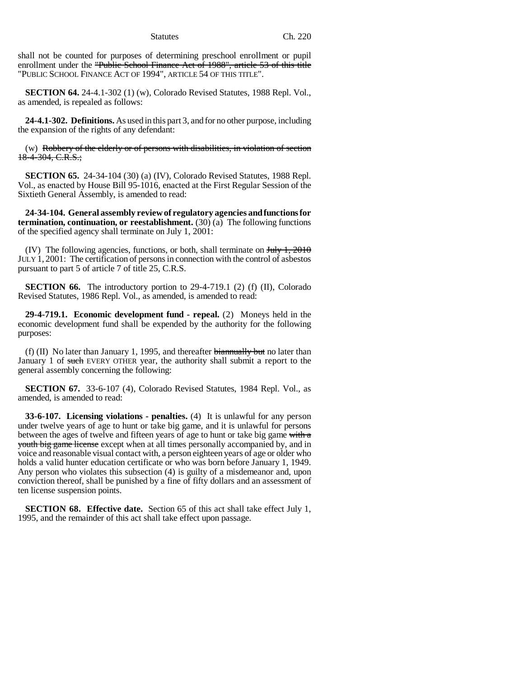shall not be counted for purposes of determining preschool enrollment or pupil enrollment under the "Public School Finance Act of 1988", article 53 of this title "PUBLIC SCHOOL FINANCE ACT OF 1994", ARTICLE 54 OF THIS TITLE".

**SECTION 64.** 24-4.1-302 (1) (w), Colorado Revised Statutes, 1988 Repl. Vol., as amended, is repealed as follows:

**24-4.1-302. Definitions.** As used in this part 3, and for no other purpose, including the expansion of the rights of any defendant:

(w) Robbery of the elderly or of persons with disabilities, in violation of section  $18-4-304, C.R.S.;$ 

**SECTION 65.** 24-34-104 (30) (a) (IV), Colorado Revised Statutes, 1988 Repl. Vol., as enacted by House Bill 95-1016, enacted at the First Regular Session of the Sixtieth General Assembly, is amended to read:

**24-34-104. General assembly review of regulatory agencies and functions for termination, continuation, or reestablishment.** (30) (a) The following functions of the specified agency shall terminate on July 1, 2001:

(IV) The following agencies, functions, or both, shall terminate on  $J_{\text{t}}/1$ ,  $2010$ JULY 1, 2001: The certification of persons in connection with the control of asbestos pursuant to part 5 of article 7 of title 25, C.R.S.

**SECTION 66.** The introductory portion to 29-4-719.1 (2) (f) (II), Colorado Revised Statutes, 1986 Repl. Vol., as amended, is amended to read:

**29-4-719.1. Economic development fund - repeal.** (2) Moneys held in the economic development fund shall be expended by the authority for the following purposes:

(f) (II) No later than January 1, 1995, and thereafter  $\frac{1}{2}$  biannually but no later than January 1 of such EVERY OTHER year, the authority shall submit a report to the general assembly concerning the following:

**SECTION 67.** 33-6-107 (4), Colorado Revised Statutes, 1984 Repl. Vol., as amended, is amended to read:

**33-6-107. Licensing violations - penalties.** (4) It is unlawful for any person under twelve years of age to hunt or take big game, and it is unlawful for persons between the ages of twelve and fifteen years of age to hunt or take big game with a youth big game license except when at all times personally accompanied by, and in voice and reasonable visual contact with, a person eighteen years of age or older who holds a valid hunter education certificate or who was born before January 1, 1949. Any person who violates this subsection (4) is guilty of a misdemeanor and, upon conviction thereof, shall be punished by a fine of fifty dollars and an assessment of ten license suspension points.

**SECTION 68. Effective date.** Section 65 of this act shall take effect July 1, 1995, and the remainder of this act shall take effect upon passage.